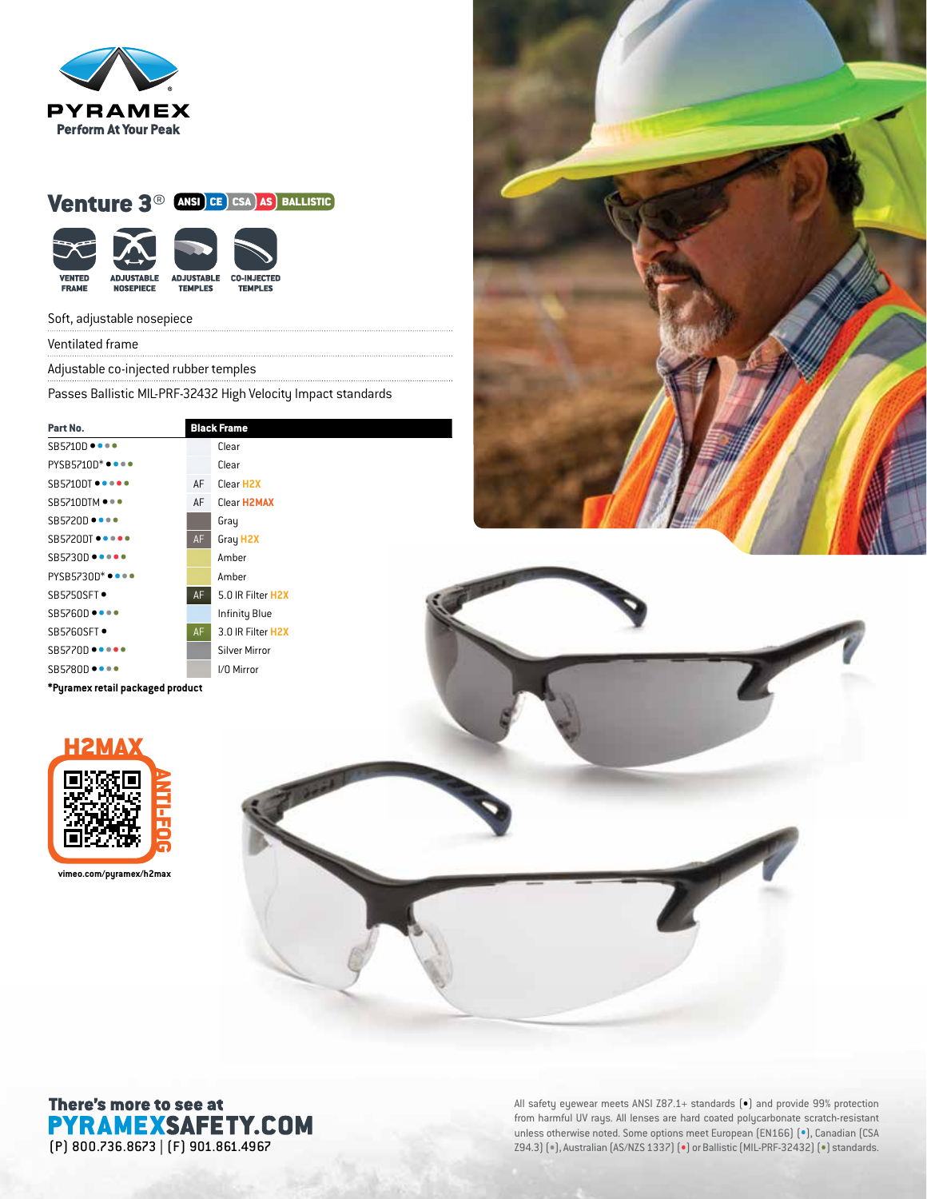

## Venture 3<sup>®</sup> ANSI CE CSA AS BALLISTIC

| <b>VENTED</b> | <b>ADJUSTABLE</b> | <b>ADJUSTABLE</b> | <b>CO-INJECTED</b> |
|---------------|-------------------|-------------------|--------------------|
| <b>FRAME</b>  | <b>NOSEPIECE</b>  | <b>TEMPLES</b>    | <b>TEMPLES</b>     |

#### Soft, adjustable nosepiece

Ventilated frame

Adjustable co-injected rubber temples

Passes Ballistic MIL-PRF-32432 High Velocity Impact standards

| Part No.                                             |    | <b>Black Frame</b>     |  |
|------------------------------------------------------|----|------------------------|--|
| SB5710D ••••                                         |    | Clear                  |  |
| $PYSB5710D^* \bullet \bullet \bullet \bullet$        |    | Clear                  |  |
| $SB5710DT$ $\bullet \bullet \bullet \bullet \bullet$ | AF | Clear H <sub>2</sub> X |  |
| $SB5710$ DTM $\bullet\bullet\bullet$                 | AF | Clear <b>H2MAX</b>     |  |
| SB5720D ••••                                         |    | Gray                   |  |
| SB5720DT                                             | AF | Gray H <sub>2X</sub>   |  |
| $SB5730D \bullet \bullet \bullet \bullet \bullet$    |    | Amber                  |  |
| $PYSB5730D^* \bullet \bullet \bullet \bullet$        |    | Amber                  |  |
| SB5750SFT •                                          | AF | 5.0 IR Filter H2X      |  |
| $SB5760D \bullet \bullet \bullet \bullet$            |    | Infinity Blue          |  |
| SB5760SFT •                                          | AF | 3.0 IR Filter H2X      |  |
| $SB5770D \bullet \bullet \bullet \bullet \bullet$    |    | <b>Silver Mirror</b>   |  |
| <b>SB5780D ••••</b>                                  |    | I/O Mirror             |  |
| *Pyramex retail packaged product                     |    |                        |  |





**vimeo.com/pyramex/h2max**



# There's more to see at **PYRAMEXSAFETY.COM**

All safety eyewear meets ANSI Z87.1+ standards (•) and provide 99% protection from harmful UV rays. All lenses are hard coated polycarbonate scratch-resistant unless otherwise noted. Some options meet European (EN166) (•), Canadian (CSA (P) 800.736.8673 | (F) 901.861.4967 Z94.3) (•), Australian (AS/NZS 1337) (•) or Ballistic (MIL-PRF-32432) (•) standards.